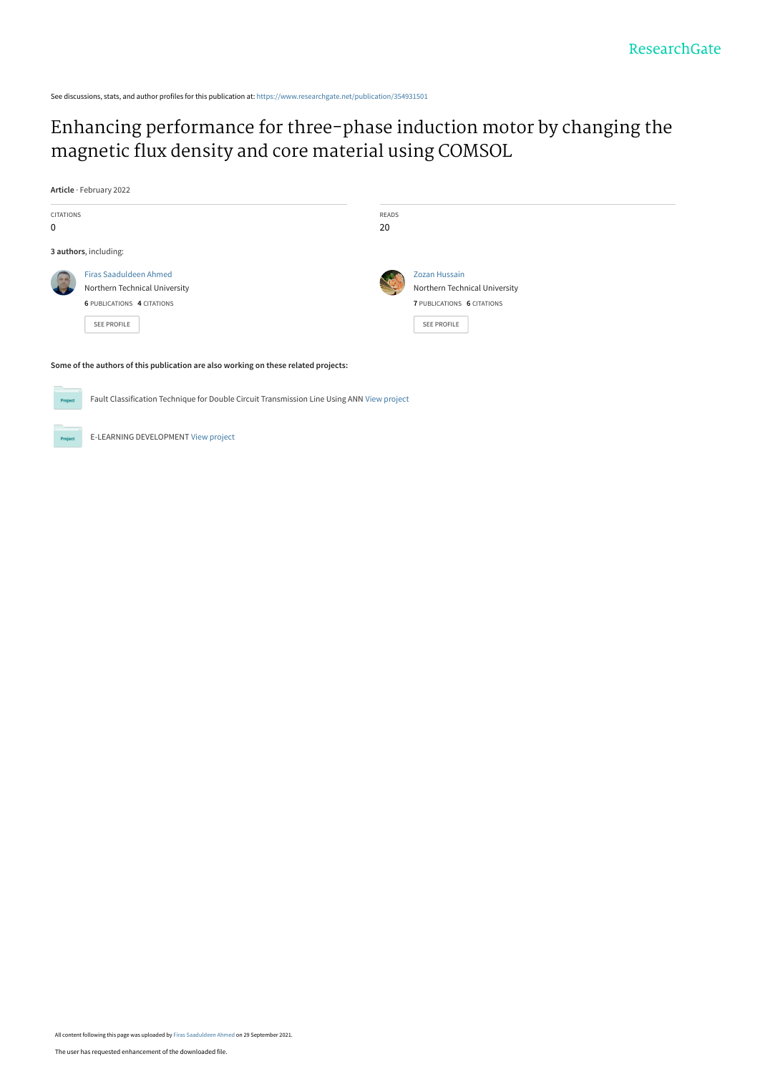See discussions, stats, and author profiles for this publication at: [https://www.researchgate.net/publication/354931501](https://www.researchgate.net/publication/354931501_Enhancing_performance_for_three-phase_induction_motor_by_changing_the_magnetic_flux_density_and_core_material_using_COMSOL?enrichId=rgreq-105e79c2bf95a5735f0cec6d68442524-XXX&enrichSource=Y292ZXJQYWdlOzM1NDkzMTUwMTtBUzoxMDczNDM1NTIyMzY3NDg4QDE2MzI5MzgzODA0Njk%3D&el=1_x_2&_esc=publicationCoverPdf)

# [Enhancing performance for three-phase induction motor by changing the](https://www.researchgate.net/publication/354931501_Enhancing_performance_for_three-phase_induction_motor_by_changing_the_magnetic_flux_density_and_core_material_using_COMSOL?enrichId=rgreq-105e79c2bf95a5735f0cec6d68442524-XXX&enrichSource=Y292ZXJQYWdlOzM1NDkzMTUwMTtBUzoxMDczNDM1NTIyMzY3NDg4QDE2MzI5MzgzODA0Njk%3D&el=1_x_3&_esc=publicationCoverPdf) magnetic flux density and core material using COMSOL

**Article** · February 2022



Fault Classification Technique for Double Circuit Transmission Line Using ANN [View project](https://www.researchgate.net/project/Fault-Classification-Technique-for-Double-Circuit-Transmission-Line-Using-ANN?enrichId=rgreq-105e79c2bf95a5735f0cec6d68442524-XXX&enrichSource=Y292ZXJQYWdlOzM1NDkzMTUwMTtBUzoxMDczNDM1NTIyMzY3NDg4QDE2MzI5MzgzODA0Njk%3D&el=1_x_9&_esc=publicationCoverPdf) Proj

E-LEARNING DEVELOPMENT [View project](https://www.researchgate.net/project/E-LEARNING-DEVELOPMENT?enrichId=rgreq-105e79c2bf95a5735f0cec6d68442524-XXX&enrichSource=Y292ZXJQYWdlOzM1NDkzMTUwMTtBUzoxMDczNDM1NTIyMzY3NDg4QDE2MzI5MzgzODA0Njk%3D&el=1_x_9&_esc=publicationCoverPdf)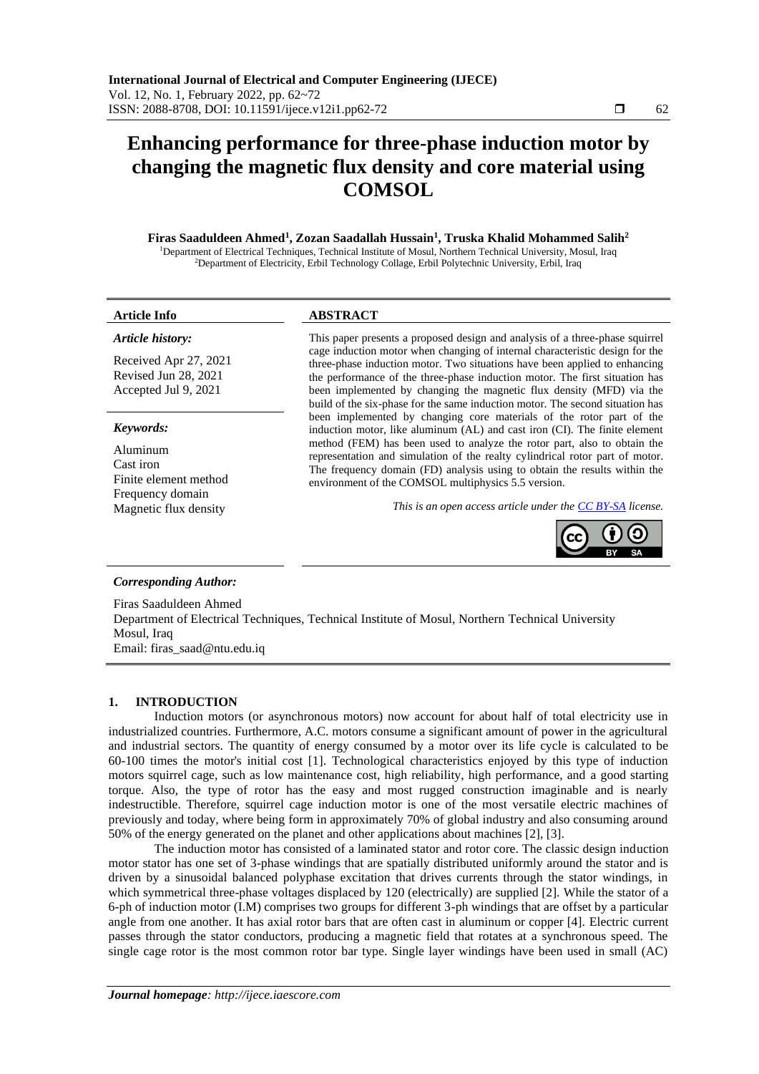# **Enhancing performance for three-phase induction motor by changing the magnetic flux density and core material using COMSOL**

**Firas Saaduldeen Ahmed<sup>1</sup> , Zozan Saadallah Hussain<sup>1</sup> , Truska Khalid Mohammed Salih<sup>2</sup>** <sup>1</sup>Department of Electrical Techniques, Technical Institute of Mosul, Northern Technical University, Mosul, Iraq <sup>2</sup>Department of Electricity, Erbil Technology Collage, Erbil Polytechnic University, Erbil, Iraq

# **Article Info ABSTRACT**

### *Article history:*

Received Apr 27, 2021 Revised Jun 28, 2021 Accepted Jul 9, 2021

#### *Keywords:*

Aluminum Cast iron Finite element method Frequency domain<br>Magnetic flux density

This paper presents a proposed design and analysis of a three-phase squirrel cage induction motor when changing of internal characteristic design for the three-phase induction motor. Two situations have been applied to enhancing the performance of the three-phase induction motor. The first situation has been implemented by changing the magnetic flux density (MFD) via the build of the six-phase for the same induction motor. The second situation has been implemented by changing core materials of the rotor part of the induction motor, like aluminum (AL) and cast iron (CI). The finite element method (FEM) has been used to analyze the rotor part, also to obtain the representation and simulation of the realty cylindrical rotor part of motor. The frequency domain (FD) analysis using to obtain the results within the environment of the COMSOL multiphysics 5.5 version.

This is an open access article under the **CC BY-SA** license.



#### *Corresponding Author:*

Firas Saaduldeen Ahmed Department of Electrical Techniques, Technical Institute of Mosul, Northern Technical University Mosul, Iraq Email: firas\_saad@ntu.edu.iq

## **1. INTRODUCTION**

Induction motors (or asynchronous motors) now account for about half of total electricity use in industrialized countries. Furthermore, A.C. motors consume a significant amount of power in the agricultural and industrial sectors. The quantity of energy consumed by a motor over its life cycle is calculated to be 60-100 times the motor's initial cost [1]. Technological characteristics enjoyed by this type of induction motors squirrel cage, such as low maintenance cost, high reliability, high performance, and a good starting torque. Also, the type of rotor has the easy and most rugged construction imaginable and is nearly indestructible. Therefore, squirrel cage induction motor is one of the most versatile electric machines of previously and today, where being form in approximately 70% of global industry and also consuming around 50% of the energy generated on the planet and other applications about machines [2], [3].

The induction motor has consisted of a laminated stator and rotor core. The classic design induction motor stator has one set of 3-phase windings that are spatially distributed uniformly around the stator and is driven by a sinusoidal balanced polyphase excitation that drives currents through the stator windings, in which symmetrical three-phase voltages displaced by 120 (electrically) are supplied [2]. While the stator of a 6-ph of induction motor (I.M) comprises two groups for different 3-ph windings that are offset by a particular angle from one another. It has axial rotor bars that are often cast in aluminum or copper [4]. Electric current passes through the stator conductors, producing a magnetic field that rotates at a synchronous speed. The single cage rotor is the most common rotor bar type. Single layer windings have been used in small (AC)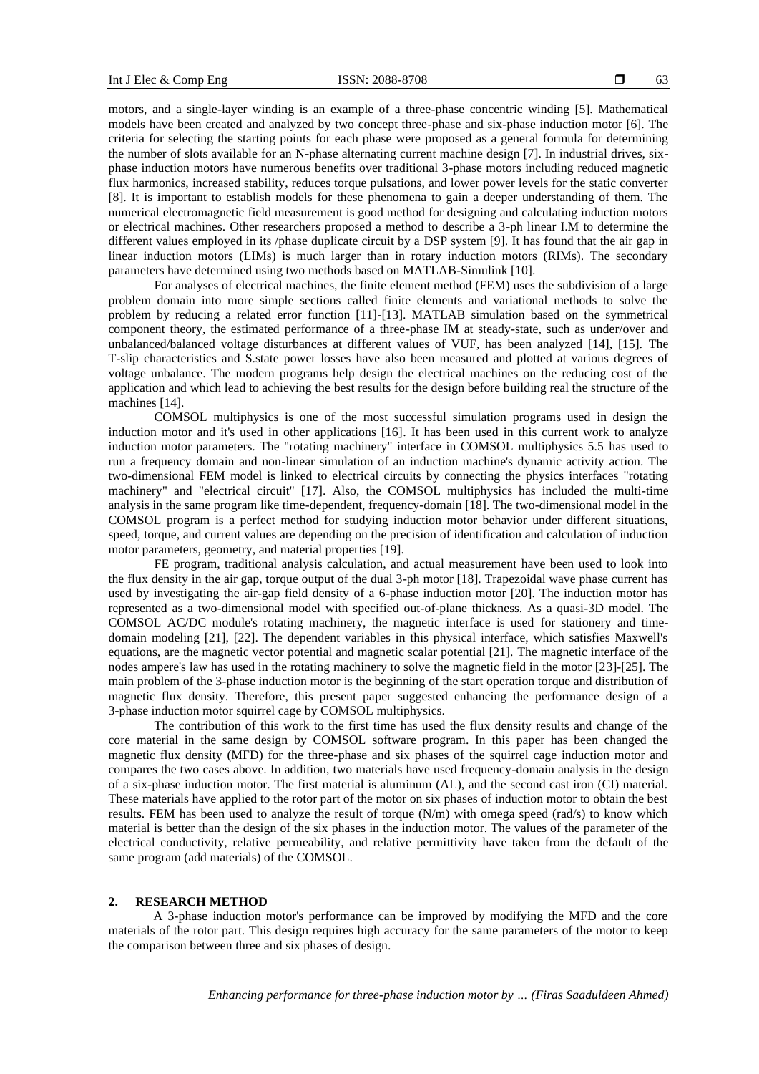motors, and a single-layer winding is an example of a three-phase concentric winding [5]. Mathematical models have been created and analyzed by two concept three-phase and six-phase induction motor [6]. The criteria for selecting the starting points for each phase were proposed as a general formula for determining the number of slots available for an N-phase alternating current machine design [7]. In industrial drives, sixphase induction motors have numerous benefits over traditional 3-phase motors including reduced magnetic flux harmonics, increased stability, reduces torque pulsations, and lower power levels for the static converter [8]. It is important to establish models for these phenomena to gain a deeper understanding of them. The numerical electromagnetic field measurement is good method for designing and calculating induction motors or electrical machines. Other researchers proposed a method to describe a 3-ph linear I.M to determine the different values employed in its /phase duplicate circuit by a DSP system [9]. It has found that the air gap in linear induction motors (LIMs) is much larger than in rotary induction motors (RIMs). The secondary parameters have determined using two methods based on MATLAB-Simulink [10].

For analyses of electrical machines, the finite element method (FEM) uses the subdivision of a large problem domain into more simple sections called finite elements and variational methods to solve the problem by reducing a related error function [11]-[13]. MATLAB simulation based on the symmetrical component theory, the estimated performance of a three-phase IM at steady-state, such as under/over and unbalanced/balanced voltage disturbances at different values of VUF, has been analyzed [14], [15]. The T-slip characteristics and S.state power losses have also been measured and plotted at various degrees of voltage unbalance. The modern programs help design the electrical machines on the reducing cost of the application and which lead to achieving the best results for the design before building real the structure of the machines [14].

COMSOL multiphysics is one of the most successful simulation programs used in design the induction motor and it's used in other applications [16]. It has been used in this current work to analyze induction motor parameters. The "rotating machinery" interface in COMSOL multiphysics 5.5 has used to run a frequency domain and non-linear simulation of an induction machine's dynamic activity action. The two-dimensional FEM model is linked to electrical circuits by connecting the physics interfaces "rotating machinery" and "electrical circuit" [17]. Also, the COMSOL multiphysics has included the multi-time analysis in the same program like time-dependent, frequency-domain [18]. The two-dimensional model in the COMSOL program is a perfect method for studying induction motor behavior under different situations, speed, torque, and current values are depending on the precision of identification and calculation of induction motor parameters, geometry, and material properties [19].

FE program, traditional analysis calculation, and actual measurement have been used to look into the flux density in the air gap, torque output of the dual 3-ph motor [18]. Trapezoidal wave phase current has used by investigating the air-gap field density of a 6-phase induction motor [20]. The induction motor has represented as a two-dimensional model with specified out-of-plane thickness. As a quasi-3D model. The COMSOL AC/DC module's rotating machinery, the magnetic interface is used for stationery and timedomain modeling [21], [22]. The dependent variables in this physical interface, which satisfies Maxwell's equations, are the magnetic vector potential and magnetic scalar potential [21]. The magnetic interface of the nodes ampere's law has used in the rotating machinery to solve the magnetic field in the motor [23]-[25]. The main problem of the 3-phase induction motor is the beginning of the start operation torque and distribution of magnetic flux density. Therefore, this present paper suggested enhancing the performance design of a 3-phase induction motor squirrel cage by COMSOL multiphysics.

The contribution of this work to the first time has used the flux density results and change of the core material in the same design by COMSOL software program. In this paper has been changed the magnetic flux density (MFD) for the three-phase and six phases of the squirrel cage induction motor and compares the two cases above. In addition, two materials have used frequency-domain analysis in the design of a six-phase induction motor. The first material is aluminum (AL), and the second cast iron (CI) material. These materials have applied to the rotor part of the motor on six phases of induction motor to obtain the best results. FEM has been used to analyze the result of torque (N/m) with omega speed (rad/s) to know which material is better than the design of the six phases in the induction motor. The values of the parameter of the electrical conductivity, relative permeability, and relative permittivity have taken from the default of the same program (add materials) of the COMSOL.

# **2. RESEARCH METHOD**

A 3-phase induction motor's performance can be improved by modifying the MFD and the core materials of the rotor part. This design requires high accuracy for the same parameters of the motor to keep the comparison between three and six phases of design.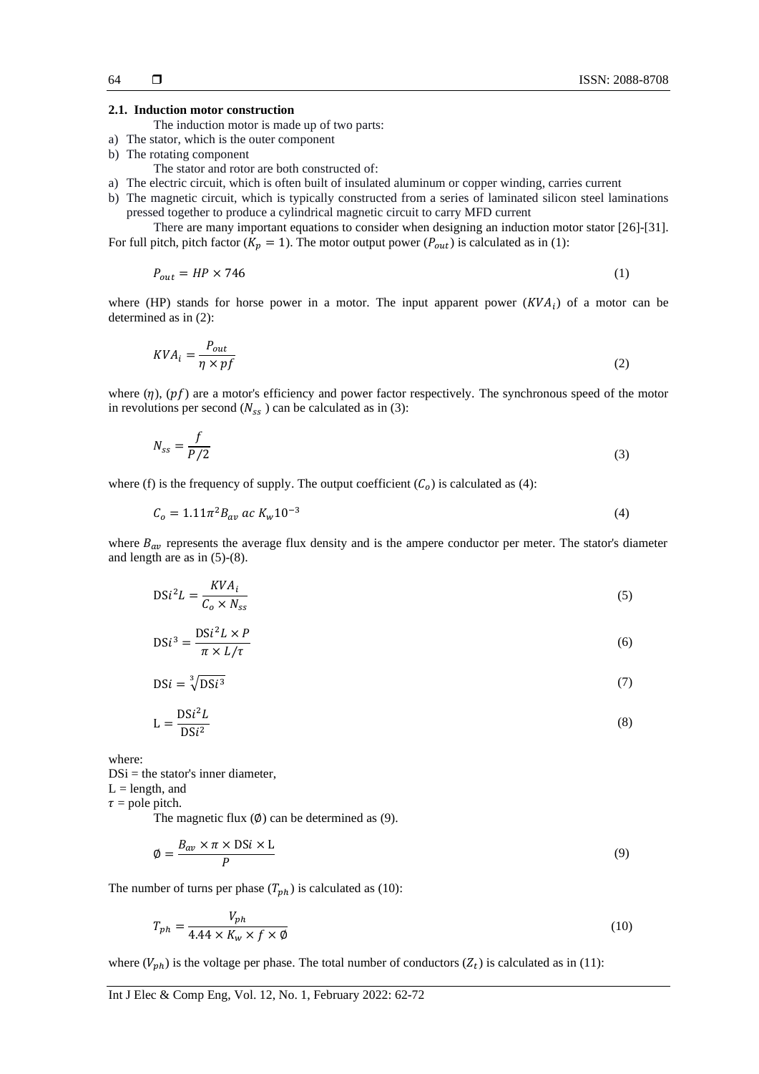#### **2.1. Induction motor construction**

- The induction motor is made up of two parts:
- a) The stator, which is the outer component
- b) The rotating component
	- The stator and rotor are both constructed of:
- a) The electric circuit, which is often built of insulated aluminum or copper winding, carries current
- b) The magnetic circuit, which is typically constructed from a series of laminated silicon steel laminations pressed together to produce a cylindrical magnetic circuit to carry MFD current

There are many important equations to consider when designing an induction motor stator [26]-[31]. For full pitch, pitch factor ( $K_p = 1$ ). The motor output power ( $P_{out}$ ) is calculated as in (1):

$$
P_{out} = HP \times 746 \tag{1}
$$

where (HP) stands for horse power in a motor. The input apparent power  $(KVA<sub>i</sub>)$  of a motor can be determined as in (2):

$$
KVA_i = \frac{P_{out}}{\eta \times pf} \tag{2}
$$

where  $(\eta)$ ,  $(pf)$  are a motor's efficiency and power factor respectively. The synchronous speed of the motor in revolutions per second  $(N_{ss})$  can be calculated as in (3):

$$
N_{ss} = \frac{f}{P/2} \tag{3}
$$

where (f) is the frequency of supply. The output coefficient  $(C<sub>o</sub>)$  is calculated as (4):

$$
C_o = 1.11\pi^2 B_{av} \; ac \; K_w 10^{-3} \tag{4}
$$

where  $B_{av}$  represents the average flux density and is the ampere conductor per meter. The stator's diameter and length are as in (5)-(8).

$$
DSi^{2}L = \frac{KVA_{i}}{C_{o} \times N_{ss}}
$$
 (5)

$$
DSi^3 = \frac{DSi^2 L \times P}{\pi \times L/\tau}
$$
 (6)

$$
DSi = \sqrt[3]{DSi^3} \tag{7}
$$

$$
L = \frac{DSi^2 L}{DSi^2} \tag{8}
$$

where:

 $DSi =$  the stator's inner diameter,  $L =$  length, and

 $\tau$  = pole pitch.

The magnetic flux  $(\emptyset)$  can be determined as (9).

$$
\phi = \frac{B_{av} \times \pi \times \text{DSi} \times \text{L}}{P}
$$
\n(9)

The number of turns per phase  $(T_{ph})$  is calculated as (10):

$$
T_{ph} = \frac{V_{ph}}{4.44 \times K_w \times f \times \emptyset} \tag{10}
$$

where  $(V_{ph})$  is the voltage per phase. The total number of conductors  $(Z_t)$  is calculated as in (11):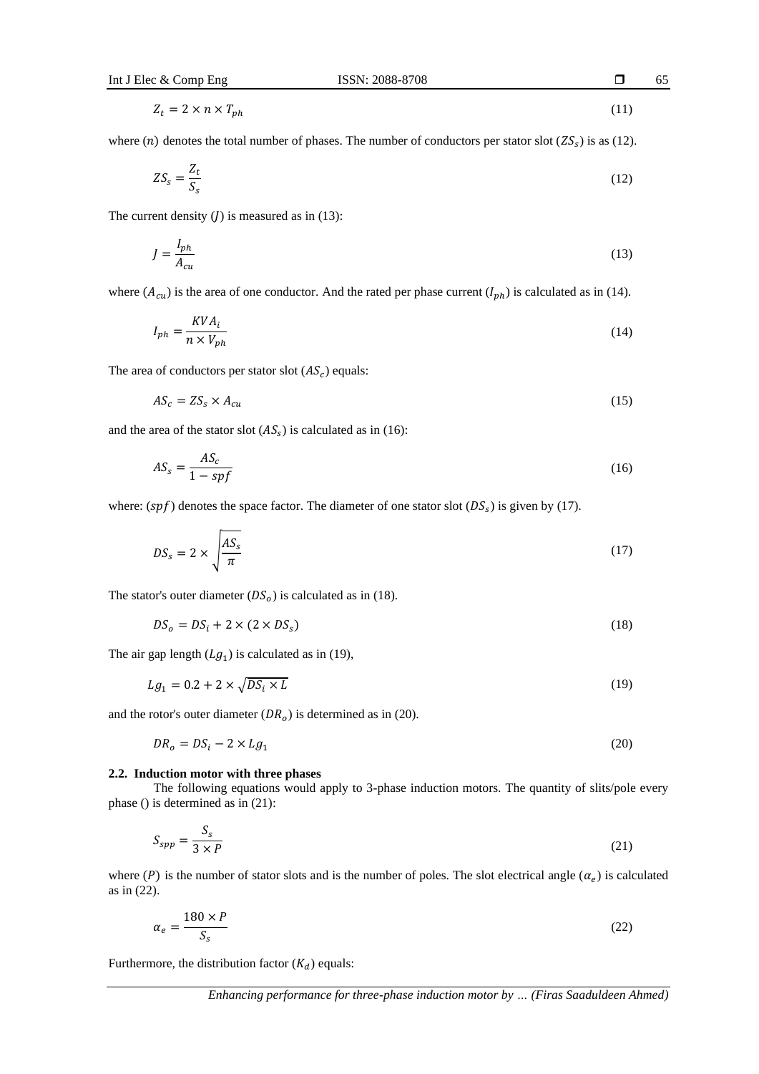$$
Z_t = 2 \times n \times T_{ph} \tag{11}
$$

where (*n*) denotes the total number of phases. The number of conductors per stator slot ( $ZS_s$ ) is as (12).

$$
ZS_s = \frac{Z_t}{S_s} \tag{12}
$$

The current density  $(J)$  is measured as in (13):

$$
J = \frac{I_{ph}}{A_{cu}}\tag{13}
$$

where  $(A_{cu})$  is the area of one conductor. And the rated per phase current  $(I_{ph})$  is calculated as in (14).

$$
I_{ph} = \frac{KVA_i}{n \times V_{ph}}\tag{14}
$$

The area of conductors per stator slot  $(AS<sub>c</sub>)$  equals:

$$
AS_c = ZS_s \times A_{cu} \tag{15}
$$

and the area of the stator slot  $(AS<sub>s</sub>)$  is calculated as in (16):

$$
AS_s = \frac{AS_c}{1 - spf} \tag{16}
$$

where:  $(spf)$  denotes the space factor. The diameter of one stator slot  $(DS<sub>s</sub>)$  is given by (17).

$$
DS_s = 2 \times \sqrt{\frac{AS_s}{\pi}} \tag{17}
$$

The stator's outer diameter  $(DS<sub>o</sub>)$  is calculated as in (18).

$$
DS_o = DS_i + 2 \times (2 \times DS_s) \tag{18}
$$

The air gap length  $(Lg_1)$  is calculated as in (19),

$$
Lg_1 = 0.2 + 2 \times \sqrt{DS_i \times L} \tag{19}
$$

and the rotor's outer diameter  $(DR<sub>o</sub>)$  is determined as in (20).

$$
DR_o = DS_i - 2 \times Lg_1 \tag{20}
$$

# **2.2. Induction motor with three phases**

The following equations would apply to 3-phase induction motors. The quantity of slits/pole every phase () is determined as in (21):

$$
S_{spp} = \frac{S_s}{3 \times P} \tag{21}
$$

where (P) is the number of stator slots and is the number of poles. The slot electrical angle  $(\alpha_e)$  is calculated as in (22).

$$
\alpha_e = \frac{180 \times P}{S_s} \tag{22}
$$

Furthermore, the distribution factor  $(K_d)$  equals: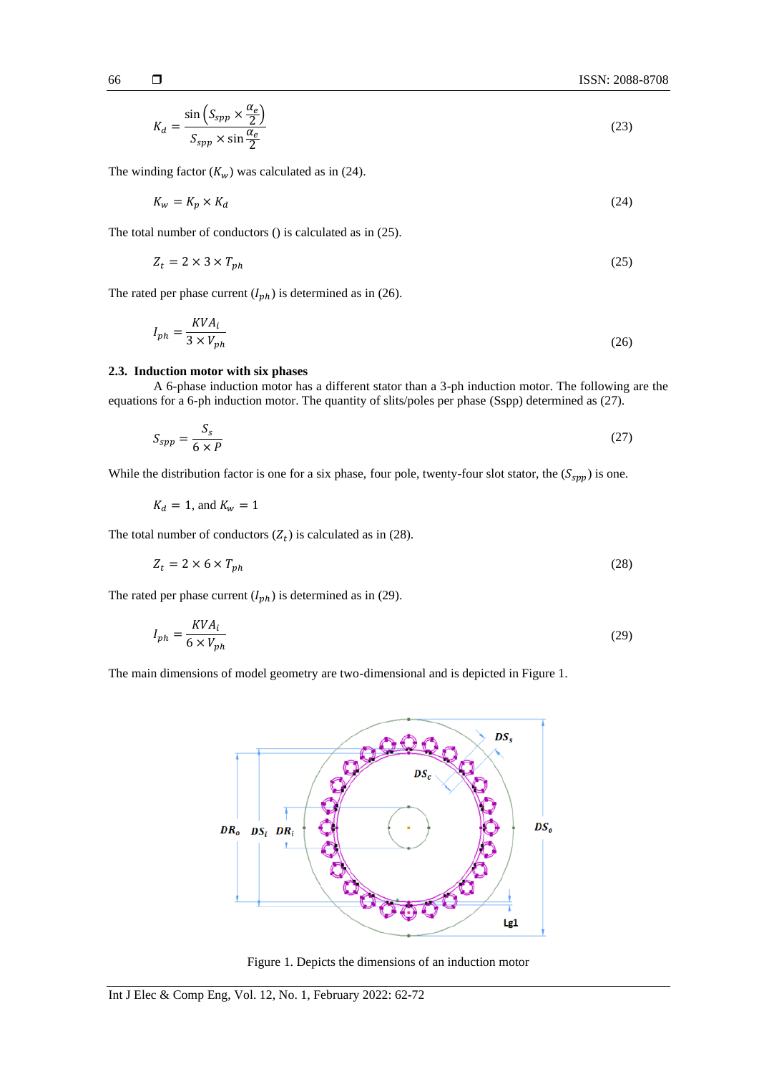$$
K_d = \frac{\sin\left(S_{spp} \times \frac{\alpha_e}{2}\right)}{S_{spp} \times \sin\frac{\alpha_e}{2}}
$$
(23)

The winding factor  $(K_w)$  was calculated as in (24).

$$
K_w = K_p \times K_d \tag{24}
$$

The total number of conductors () is calculated as in (25).

$$
Z_t = 2 \times 3 \times T_{ph} \tag{25}
$$

The rated per phase current  $(I_{ph})$  is determined as in (26).

$$
I_{ph} = \frac{KVA_i}{3 \times V_{ph}} \tag{26}
$$

# **2.3. Induction motor with six phases**

A 6-phase induction motor has a different stator than a 3-ph induction motor. The following are the equations for a 6-ph induction motor. The quantity of slits/poles per phase (Sspp) determined as (27).

$$
S_{spp} = \frac{S_s}{6 \times P} \tag{27}
$$

While the distribution factor is one for a six phase, four pole, twenty-four slot stator, the  $(S_{spp})$  is one.

$$
K_d = 1, \text{ and } K_w = 1
$$

The total number of conductors  $(Z_t)$  is calculated as in (28).

$$
Z_t = 2 \times 6 \times T_{ph} \tag{28}
$$

The rated per phase current  $(I_{ph})$  is determined as in (29).

$$
I_{ph} = \frac{KVA_i}{6 \times V_{ph}} \tag{29}
$$

The main dimensions of model geometry are two-dimensional and is depicted in Figure 1.



Figure 1. Depicts the dimensions of an induction motor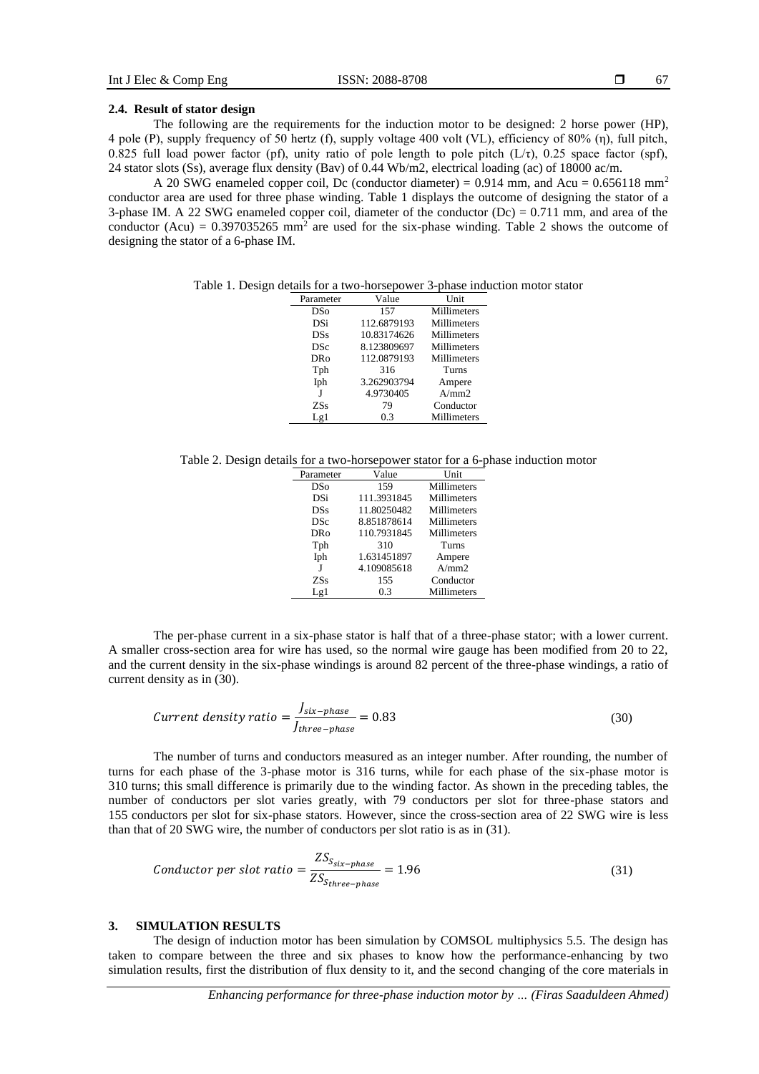# **2.4. Result of stator design**

The following are the requirements for the induction motor to be designed: 2 horse power (HP), 4 pole (P), supply frequency of 50 hertz (f), supply voltage 400 volt (VL), efficiency of 80% (η), full pitch, 0.825 full load power factor (pf), unity ratio of pole length to pole pitch  $(L/\tau)$ , 0.25 space factor (spf), 24 stator slots (Ss), average flux density (Bav) of 0.44 Wb/m2, electrical loading (ac) of 18000 ac/m.

A 20 SWG enameled copper coil, Dc (conductor diameter) =  $0.914$  mm, and Acu =  $0.656118$  mm<sup>2</sup> conductor area are used for three phase winding. Table 1 displays the outcome of designing the stator of a 3-phase IM. A 22 SWG enameled copper coil, diameter of the conductor  $(De) = 0.711$  mm, and area of the conductor (Acu) =  $0.397035265$  mm<sup>2</sup> are used for the six-phase winding. Table 2 shows the outcome of designing the stator of a 6-phase IM.

Table 1. Design details for a two-horsepower 3-phase induction motor stator

| Parameter  | Value       | Unit        |
|------------|-------------|-------------|
| DSo        | 157         | Millimeters |
| DSi        | 112.6879193 | Millimeters |
| <b>DSs</b> | 10.83174626 | Millimeters |
| <b>DSc</b> | 8.123809697 | Millimeters |
| DRo        | 112.0879193 | Millimeters |
| Tph        | 316         | Turns       |
| Iph        | 3.262903794 | Ampere      |
| I          | 4.9730405   | A/mm2       |
| ZSs        | 79          | Conductor   |
| Lg1        | 0.3         | Millimeters |

Table 2. Design details for a two-horsepower stator for a 6-phase induction motor

| Parameter  | Value       | Unit        |
|------------|-------------|-------------|
| <b>DSo</b> | 159         | Millimeters |
| DSi        | 111.3931845 | Millimeters |
| <b>DSs</b> | 11.80250482 | Millimeters |
| <b>DSc</b> | 8.851878614 | Millimeters |
| <b>DRo</b> | 110.7931845 | Millimeters |
| Tph        | 310         | Turns       |
| Iph        | 1.631451897 | Ampere      |
|            | 4.109085618 | A/mm2       |
| <b>ZSs</b> | 155         | Conductor   |
| Lg1        | 0.3         | Millimeters |

The per-phase current in a six-phase stator is half that of a three-phase stator; with a lower current. A smaller cross-section area for wire has used, so the normal wire gauge has been modified from 20 to 22, and the current density in the six-phase windings is around 82 percent of the three-phase windings, a ratio of current density as in (30).

$$
Current density ratio = \frac{J_{six-phase}}{J_{three-phase}} = 0.83
$$
\n(30)

The number of turns and conductors measured as an integer number. After rounding, the number of turns for each phase of the 3-phase motor is 316 turns, while for each phase of the six-phase motor is 310 turns; this small difference is primarily due to the winding factor. As shown in the preceding tables, the number of conductors per slot varies greatly, with 79 conductors per slot for three-phase stators and 155 conductors per slot for six-phase stators. However, since the cross-section area of 22 SWG wire is less than that of 20 SWG wire, the number of conductors per slot ratio is as in (31).

$$
Conductor per slot ratio = \frac{ZS_{S_{six-phase}}}{ZS_{6three-phase}} = 1.96
$$
\n(31)

## **3. SIMULATION RESULTS**

The design of induction motor has been simulation by COMSOL multiphysics 5.5. The design has taken to compare between the three and six phases to know how the performance-enhancing by two simulation results, first the distribution of flux density to it, and the second changing of the core materials in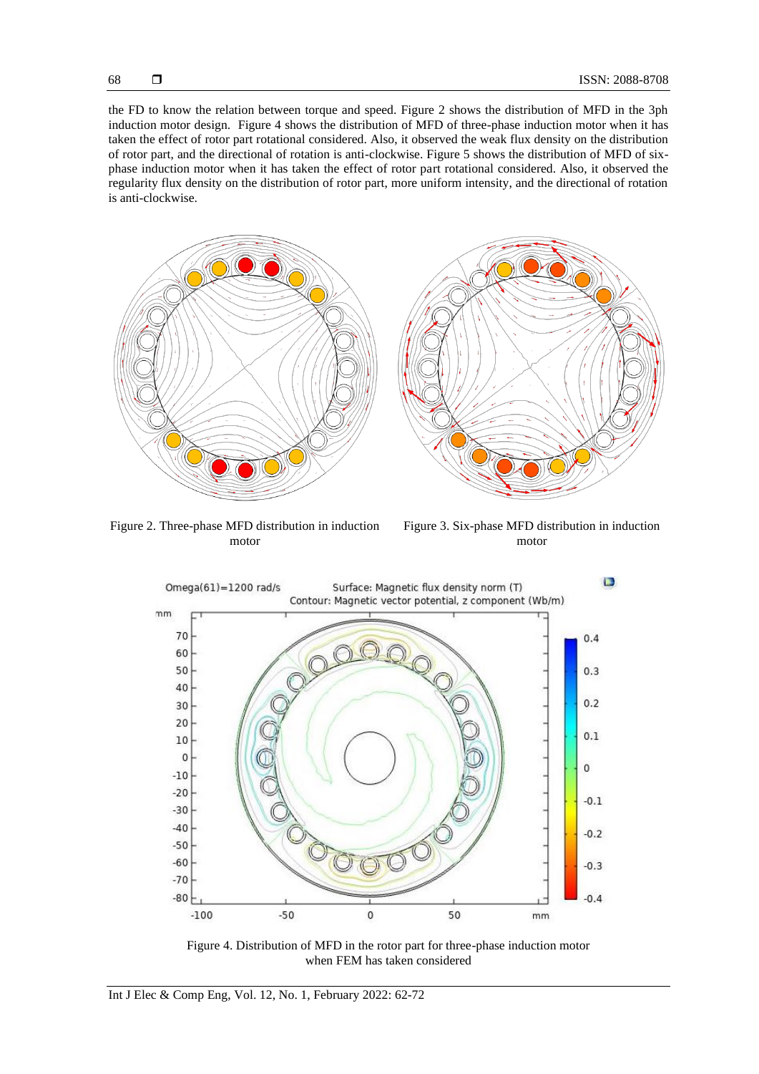the FD to know the relation between torque and speed. Figure 2 shows the distribution of MFD in the 3ph induction motor design. Figure 4 shows the distribution of MFD of three-phase induction motor when it has taken the effect of rotor part rotational considered. Also, it observed the weak flux density on the distribution of rotor part, and the directional of rotation is anti-clockwise. Figure 5 shows the distribution of MFD of sixphase induction motor when it has taken the effect of rotor part rotational considered. Also, it observed the regularity flux density on the distribution of rotor part, more uniform intensity, and the directional of rotation is anti-clockwise.



Figure 2. Three-phase MFD distribution in induction motor

Figure 3. Six-phase MFD distribution in induction motor



Figure 4. Distribution of MFD in the rotor part for three-phase induction motor when FEM has taken considered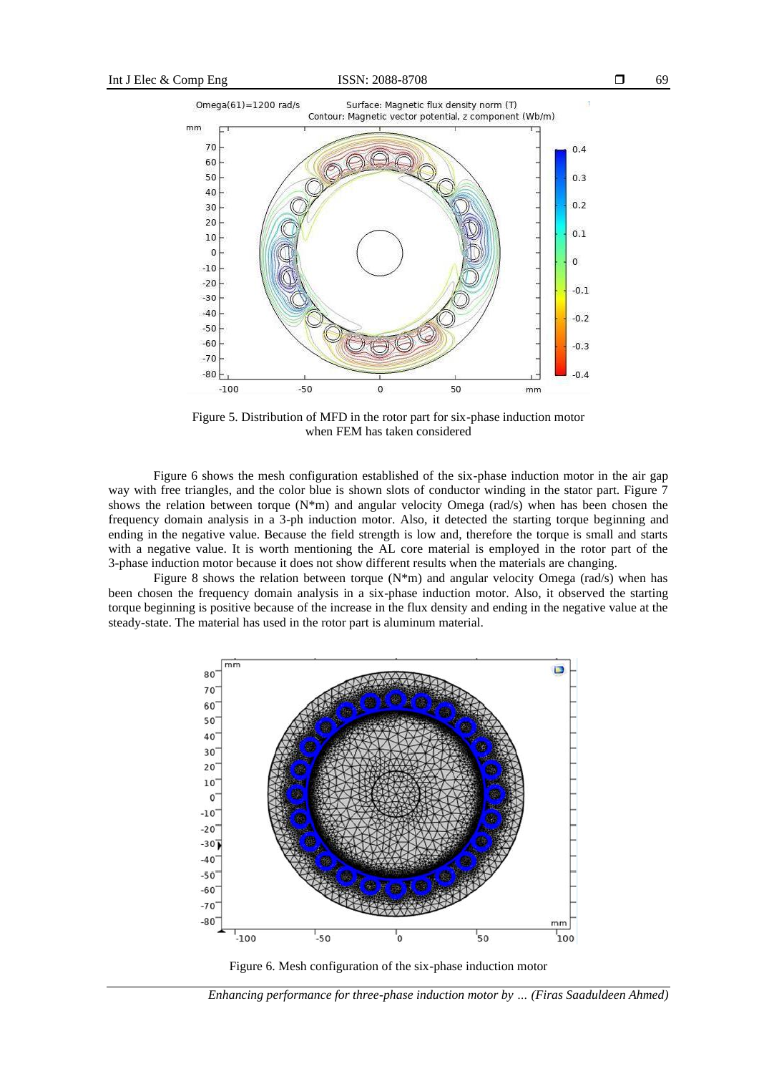69



Figure 5. Distribution of MFD in the rotor part for six-phase induction motor when FEM has taken considered

Figure 6 shows the mesh configuration established of the six-phase induction motor in the air gap way with free triangles, and the color blue is shown slots of conductor winding in the stator part. Figure 7 shows the relation between torque  $(N*m)$  and angular velocity Omega (rad/s) when has been chosen the frequency domain analysis in a 3-ph induction motor. Also, it detected the starting torque beginning and ending in the negative value. Because the field strength is low and, therefore the torque is small and starts with a negative value. It is worth mentioning the AL core material is employed in the rotor part of the 3-phase induction motor because it does not show different results when the materials are changing.

Figure 8 shows the relation between torque  $(N<sup>*</sup>m)$  and angular velocity Omega (rad/s) when has been chosen the frequency domain analysis in a six-phase induction motor. Also, it observed the starting torque beginning is positive because of the increase in the flux density and ending in the negative value at the steady-state. The material has used in the rotor part is aluminum material.



Figure 6. Mesh configuration of the six-phase induction motor

*Enhancing performance for three-phase induction motor by … (Firas Saaduldeen Ahmed)*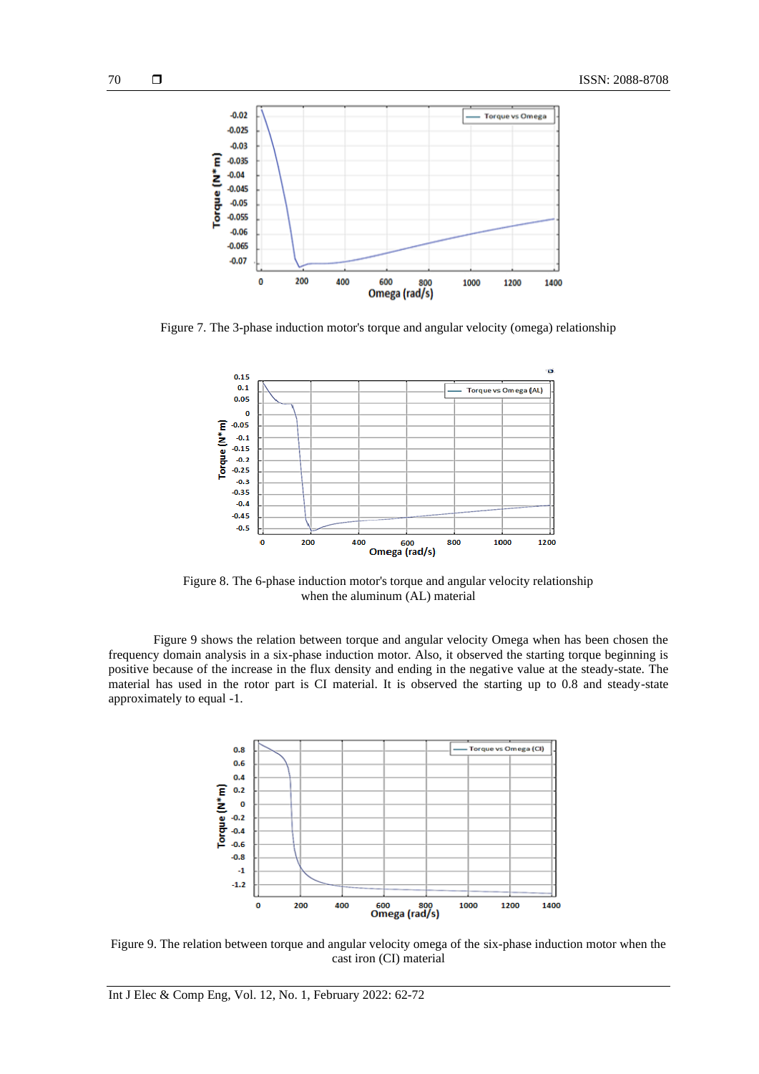

Figure 7. The 3-phase induction motor's torque and angular velocity (omega) relationship



Figure 8. The 6-phase induction motor's torque and angular velocity relationship when the aluminum (AL) material

Figure 9 shows the relation between torque and angular velocity Omega when has been chosen the frequency domain analysis in a six-phase induction motor. Also, it observed the starting torque beginning is positive because of the increase in the flux density and ending in the negative value at the steady-state. The material has used in the rotor part is CI material. It is observed the starting up to 0.8 and steady-state approximately to equal -1.



Figure 9. The relation between torque and angular velocity omega of the six-phase induction motor when the cast iron (CI) material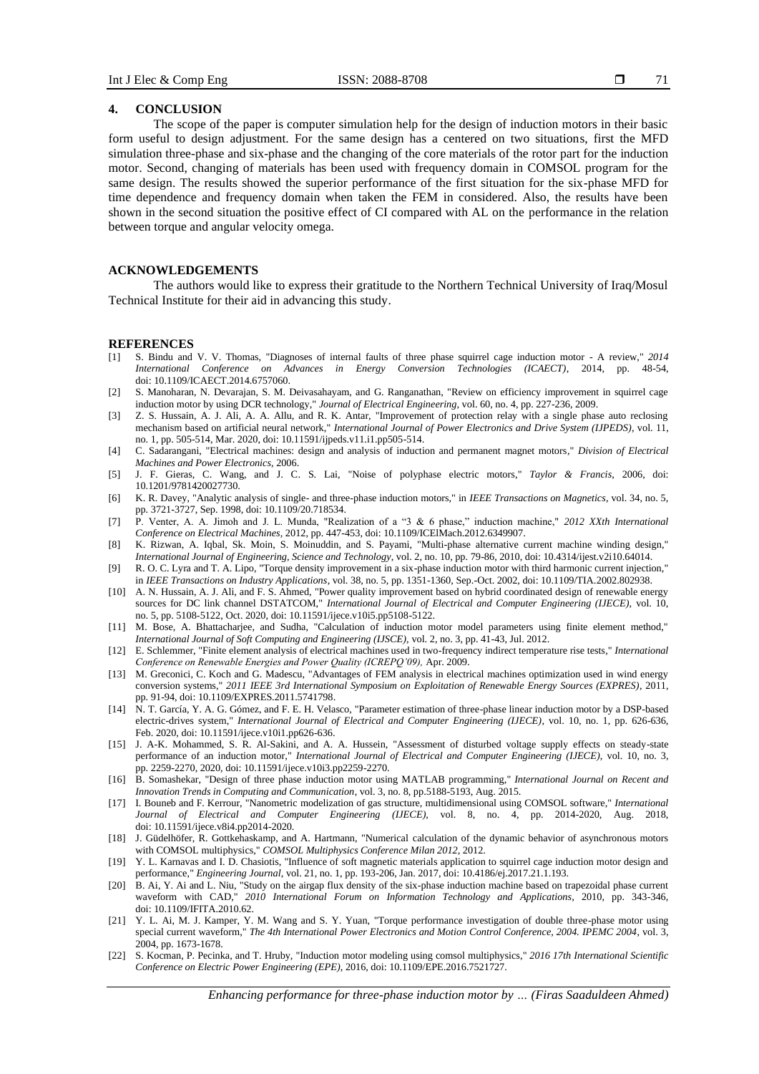71

# **4. CONCLUSION**

The scope of the paper is computer simulation help for the design of induction motors in their basic form useful to design adjustment. For the same design has a centered on two situations, first the MFD simulation three-phase and six-phase and the changing of the core materials of the rotor part for the induction motor. Second, changing of materials has been used with frequency domain in COMSOL program for the same design. The results showed the superior performance of the first situation for the six-phase MFD for time dependence and frequency domain when taken the FEM in considered. Also, the results have been shown in the second situation the positive effect of CI compared with AL on the performance in the relation between torque and angular velocity omega.

# **ACKNOWLEDGEMENTS**

The authors would like to express their gratitude to the Northern Technical University of Iraq/Mosul Technical Institute for their aid in advancing this study.

### **REFERENCES**

- [1] S. Bindu and V. V. Thomas, "Diagnoses of internal faults of three phase squirrel cage induction motor A review," *2014 International Conference on Advances in Energy Conversion Technologies (ICAECT)*, 2014, pp. 48-54, doi: 10.1109/ICAECT.2014.6757060.
- [2] S. Manoharan, N. Devarajan, S. M. Deivasahayam, and G. Ranganathan, "Review on efficiency improvement in squirrel cage induction motor by using DCR technology," *Journal of Electrical Engineering*, vol. 60, no. 4, pp. 227-236, 2009.
- [3] Z. S. Hussain, A. J. Ali, A. A. Allu, and R. K. Antar, "Improvement of protection relay with a single phase auto reclosing mechanism based on artificial neural network," *International Journal of Power Electronics and Drive System (IJPEDS)*, vol. 11, no. 1, pp. 505-514, Mar. 2020, doi: 10.11591/ijpeds.v11.i1.pp505-514.
- [4] C. Sadarangani, "Electrical machines: design and analysis of induction and permanent magnet motors," *Division of Electrical Machines and Power Electronics,* 2006.
- [5] J. F. Gieras, C. Wang, and J. C. S. Lai, "Noise of polyphase electric motors," *Taylor & Francis*, 2006, doi: 10.1201/9781420027730.
- [6] K. R. Davey, "Analytic analysis of single- and three-phase induction motors," in *IEEE Transactions on Magnetics*, vol. 34, no. 5, pp. 3721-3727, Sep. 1998, doi: 10.1109/20.718534.
- [7] P. Venter, A. A. Jimoh and J. L. Munda, "Realization of a "3 & 6 phase," induction machine," *2012 XXth International Conference on Electrical Machines,* 2012, pp. 447-453, doi: 10.1109/ICElMach.2012.6349907.
- [8] K. Rizwan, A. Iqbal, Sk. Moin, S. Moinuddin, and S. Payami, "Multi-phase alternative current machine winding design," *International Journal of Engineering, Science and Technology*, vol. 2, no. 10, pp. 79-86, 2010, doi: 10.4314/ijest.v2i10.64014.
- [9] R. O. C. Lyra and T. A. Lipo, "Torque density improvement in a six-phase induction motor with third harmonic current injection," in *IEEE Transactions on Industry Applications*, vol. 38, no. 5, pp. 1351-1360, Sep.-Oct. 2002, doi: 10.1109/TIA.2002.802938.
- [10] A. N. Hussain, A. J. Ali, and F. S. Ahmed, "Power quality improvement based on hybrid coordinated design of renewable energy sources for DC link channel DSTATCOM," *International Journal of Electrical and Computer Engineering (IJECE),* vol. 10, no. 5, pp. 5108-5122, Oct. 2020, doi: 10.11591/ijece.v10i5.pp5108-5122.
- [11] M. Bose, A. Bhattacharjee, and Sudha, "Calculation of induction motor model parameters using finite element method," *International Journal of Soft Computing and Engineering (IJSCE),* vol. 2, no. 3, pp. 41-43, Jul. 2012.
- [12] E. Schlemmer, "Finite element analysis of electrical machines used in two-frequency indirect temperature rise tests," *International Conference on Renewable Energies and Power Quality (ICREPQ'09),* Apr. 2009.
- [13] M. Greconici, C. Koch and G. Madescu, "Advantages of FEM analysis in electrical machines optimization used in wind energy conversion systems," *2011 IEEE 3rd International Symposium on Exploitation of Renewable Energy Sources (EXPRES)*, 2011, pp. 91-94, doi: 10.1109/EXPRES.2011.5741798.
- [14] N. T. García, Y. A. G. Gómez, and F. E. H. Velasco, "Parameter estimation of three-phase linear induction motor by a DSP-based electric-drives system," *International Journal of Electrical and Computer Engineering (IJECE)*, vol. 10, no. 1, pp. 626-636, Feb. 2020, doi: 10.11591/ijece.v10i1.pp626-636.
- [15] J. A-K. Mohammed, S. R. Al-Sakini, and A. A. Hussein, "Assessment of disturbed voltage supply effects on steady-state performance of an induction motor," *International Journal of Electrical and Computer Engineering (IJECE),* vol. 10, no. 3, pp. 2259-2270, 2020, doi: 10.11591/ijece.v10i3.pp2259-2270.
- [16] B. Somashekar, "Design of three phase induction motor using MATLAB programming," *International Journal on Recent and Innovation Trends in Computing and Communication*, vol. 3, no. 8, pp.5188-5193, Aug. 2015.
- [17] I. Bouneb and F. Kerrour, "Nanometric modelization of gas structure, multidimensional using COMSOL software," *International Journal of Electrical and Computer Engineering (IJECE),* vol. 8, no. 4, pp. 2014-2020, Aug. 2018, doi: 10.11591/ijece.v8i4.pp2014-2020.
- [18] J. Güdelhöfer, R. Gottkehaskamp, and A. Hartmann, "Numerical calculation of the dynamic behavior of asynchronous motors with COMSOL multiphysics," *COMSOL Multiphysics Conference Milan 2012,* 2012.
- [19] Y. L. Karnavas and I. D. Chasiotis, "Influence of soft magnetic materials application to squirrel cage induction motor design and performance," *Engineering Journal*, vol. 21, no. 1, pp. 193-206, Jan. 2017, doi: 10.4186/ej.2017.21.1.193.
- [20] B. Ai, Y. Ai and L. Niu, "Study on the airgap flux density of the six-phase induction machine based on trapezoidal phase current waveform with CAD," *2010 International Forum on Information Technology and Applications*, 2010, pp. 343-346, doi: 10.1109/IFITA.2010.62.
- [21] Y. L. Ai, M. J. Kamper, Y. M. Wang and S. Y. Yuan, "Torque performance investigation of double three-phase motor using special current waveform," *The 4th International Power Electronics and Motion Control Conference, 2004. IPEMC 2004*, vol. 3, 2004, pp. 1673-1678.
- [22] S. Kocman, P. Pecinka, and T. Hruby, "Induction motor modeling using comsol multiphysics," *2016 17th International Scientific Conference on Electric Power Engineering (EPE)*, 2016, doi: 10.1109/EPE.2016.7521727.